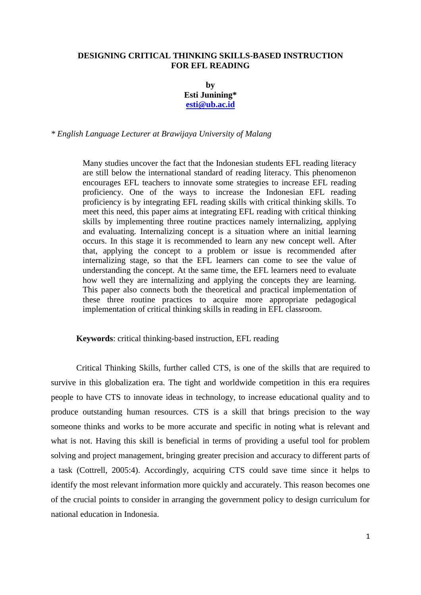## **DESIGNING CRITICAL THINKING SKILLS-BASED INSTRUCTION FOR EFL READING**

**by Esti Junining\* [esti@ub.ac.id](mailto:esti@ub.ac.id)**

*\* English Language Lecturer at Brawijaya University of Malang*

Many studies uncover the fact that the Indonesian students EFL reading literacy are still below the international standard of reading literacy. This phenomenon encourages EFL teachers to innovate some strategies to increase EFL reading proficiency. One of the ways to increase the Indonesian EFL reading proficiency is by integrating EFL reading skills with critical thinking skills. To meet this need, this paper aims at integrating EFL reading with critical thinking skills by implementing three routine practices namely internalizing, applying and evaluating. Internalizing concept is a situation where an initial learning occurs. In this stage it is recommended to learn any new concept well. After that, applying the concept to a problem or issue is recommended after internalizing stage, so that the EFL learners can come to see the value of understanding the concept. At the same time, the EFL learners need to evaluate how well they are internalizing and applying the concepts they are learning. This paper also connects both the theoretical and practical implementation of these three routine practices to acquire more appropriate pedagogical implementation of critical thinking skills in reading in EFL classroom.

**Keywords**: critical thinking-based instruction, EFL reading

Critical Thinking Skills, further called CTS, is one of the skills that are required to survive in this globalization era. The tight and worldwide competition in this era requires people to have CTS to innovate ideas in technology, to increase educational quality and to produce outstanding human resources. CTS is a skill that brings precision to the way someone thinks and works to be more accurate and specific in noting what is relevant and what is not. Having this skill is beneficial in terms of providing a useful tool for problem solving and project management, bringing greater precision and accuracy to different parts of a task (Cottrell, 2005:4). Accordingly, acquiring CTS could save time since it helps to identify the most relevant information more quickly and accurately. This reason becomes one of the crucial points to consider in arranging the government policy to design curriculum for national education in Indonesia.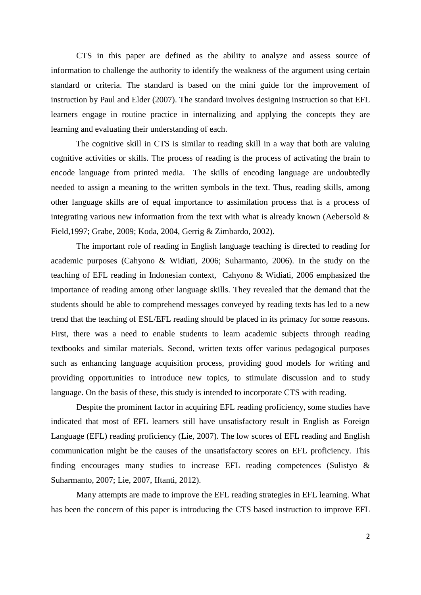CTS in this paper are defined as the ability to analyze and assess source of information to challenge the authority to identify the weakness of the argument using certain standard or criteria. The standard is based on the mini guide for the improvement of instruction by Paul and Elder (2007). The standard involves designing instruction so that EFL learners engage in routine practice in internalizing and applying the concepts they are learning and evaluating their understanding of each.

The cognitive skill in CTS is similar to reading skill in a way that both are valuing cognitive activities or skills. The process of reading is the process of activating the brain to encode language from printed media. The skills of encoding language are undoubtedly needed to assign a meaning to the written symbols in the text. Thus, reading skills, among other language skills are of equal importance to assimilation process that is a process of integrating various new information from the text with what is already known (Aebersold  $\&$ Field,1997; Grabe, 2009; Koda, 2004, Gerrig & Zimbardo, 2002).

The important role of reading in English language teaching is directed to reading for academic purposes (Cahyono & Widiati, 2006; Suharmanto, 2006). In the study on the teaching of EFL reading in Indonesian context, Cahyono & Widiati, 2006 emphasized the importance of reading among other language skills. They revealed that the demand that the students should be able to comprehend messages conveyed by reading texts has led to a new trend that the teaching of ESL/EFL reading should be placed in its primacy for some reasons. First, there was a need to enable students to learn academic subjects through reading textbooks and similar materials. Second, written texts offer various pedagogical purposes such as enhancing language acquisition process, providing good models for writing and providing opportunities to introduce new topics, to stimulate discussion and to study language. On the basis of these, this study is intended to incorporate CTS with reading.

Despite the prominent factor in acquiring EFL reading proficiency, some studies have indicated that most of EFL learners still have unsatisfactory result in English as Foreign Language (EFL) reading proficiency (Lie, 2007). The low scores of EFL reading and English communication might be the causes of the unsatisfactory scores on EFL proficiency. This finding encourages many studies to increase EFL reading competences (Sulistyo & Suharmanto, 2007; Lie, 2007, Iftanti, 2012).

Many attempts are made to improve the EFL reading strategies in EFL learning. What has been the concern of this paper is introducing the CTS based instruction to improve EFL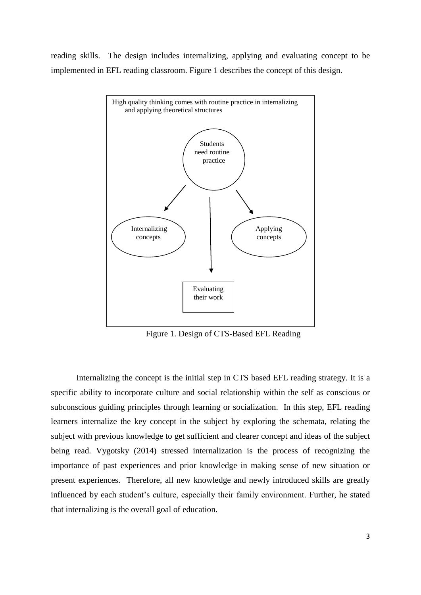reading skills. The design includes internalizing, applying and evaluating concept to be implemented in EFL reading classroom. Figure 1 describes the concept of this design.



Figure 1. Design of CTS-Based EFL Reading

Internalizing the concept is the initial step in CTS based EFL reading strategy. It is a specific ability to incorporate culture and social relationship within the self as conscious or subconscious guiding principles through learning or socialization. In this step, EFL reading learners internalize the key concept in the subject by exploring the schemata, relating the subject with previous knowledge to get sufficient and clearer concept and ideas of the subject being read. Vygotsky (2014) stressed internalization is the process of recognizing the importance of past experiences and prior knowledge in making sense of new situation or present experiences. Therefore, all new knowledge and newly introduced skills are greatly influenced by each student's culture, especially their family environment. Further, he stated that internalizing is the overall goal of education.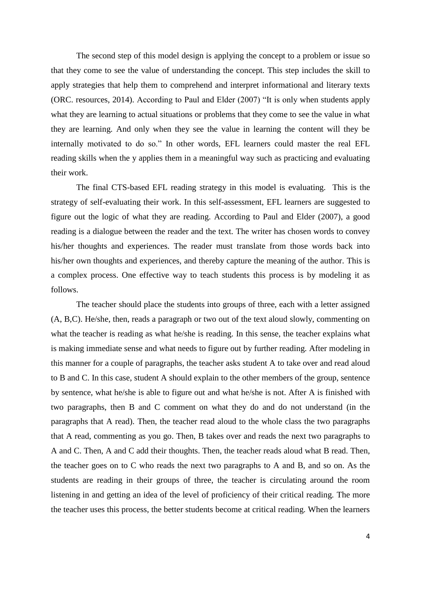The second step of this model design is applying the concept to a problem or issue so that they come to see the value of understanding the concept. This step includes the skill to apply strategies that help them to comprehend and interpret informational and literary texts (ORC. resources, 2014). According to Paul and Elder (2007) "It is only when students apply what they are learning to actual situations or problems that they come to see the value in what they are learning. And only when they see the value in learning the content will they be internally motivated to do so." In other words, EFL learners could master the real EFL reading skills when the y applies them in a meaningful way such as practicing and evaluating their work.

The final CTS-based EFL reading strategy in this model is evaluating. This is the strategy of self-evaluating their work. In this self-assessment, EFL learners are suggested to figure out the logic of what they are reading. According to Paul and Elder (2007), a good reading is a dialogue between the reader and the text. The writer has chosen words to convey his/her thoughts and experiences. The reader must translate from those words back into his/her own thoughts and experiences, and thereby capture the meaning of the author. This is a complex process. One effective way to teach students this process is by modeling it as follows.

The teacher should place the students into groups of three, each with a letter assigned (A, B,C). He/she, then, reads a paragraph or two out of the text aloud slowly, commenting on what the teacher is reading as what he/she is reading. In this sense, the teacher explains what is making immediate sense and what needs to figure out by further reading. After modeling in this manner for a couple of paragraphs, the teacher asks student A to take over and read aloud to B and C. In this case, student A should explain to the other members of the group, sentence by sentence, what he/she is able to figure out and what he/she is not. After A is finished with two paragraphs, then B and C comment on what they do and do not understand (in the paragraphs that A read). Then, the teacher read aloud to the whole class the two paragraphs that A read, commenting as you go. Then, B takes over and reads the next two paragraphs to A and C. Then, A and C add their thoughts. Then, the teacher reads aloud what B read. Then, the teacher goes on to C who reads the next two paragraphs to A and B, and so on. As the students are reading in their groups of three, the teacher is circulating around the room listening in and getting an idea of the level of proficiency of their critical reading. The more the teacher uses this process, the better students become at critical reading. When the learners